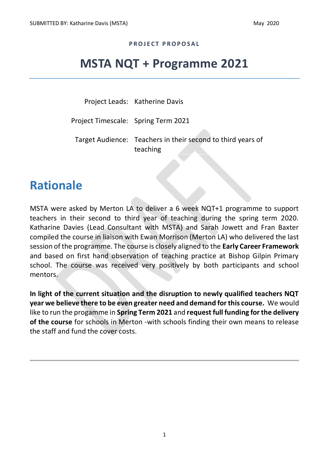#### **P R O J E C T P R O P O S A L**

# **MSTA NQT + Programme 2021**

Project Leads: Katherine Davis

Project Timescale: Spring Term 2021

Target Audience: Teachers in their second to third years of teaching

#### **Rationale**

MSTA were asked by Merton LA to deliver a 6 week NQT+1 programme to support teachers in their second to third year of teaching during the spring term 2020. Katharine Davies (Lead Consultant with MSTA) and Sarah Jowett and Fran Baxter compiled the course in liaison with Ewan Morrison (Merton LA) who delivered the last session of the programme. The course is closely aligned to the **Early Career Framework** and based on first hand observation of teaching practice at Bishop Gilpin Primary school. The course was received very positively by both participants and school mentors.

**In light of the current situation and the disruption to newly qualified teachers NQT year we believe there to be even greater need and demand for this course.** We would like to run the progamme in **Spring Term 2021** and **request full funding for the delivery of the course** for schools in Merton -with schools finding their own means to release the staff and fund the cover costs.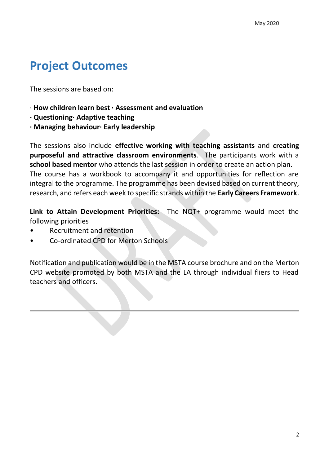# **Project Outcomes**

The sessions are based on:

- · **How children learn best · Assessment and evaluation**
- **· Questioning· Adaptive teaching**
- **· Managing behaviour· Early leadership**

The sessions also include **effective working with teaching assistants** and **creating purposeful and attractive classroom environments**. The participants work with a **school based mentor** who attends the last session in order to create an action plan. The course has a workbook to accompany it and opportunities for reflection are integral to the programme. The programme has been devised based on current theory, research, and refers each week to specific strands within the **Early Careers Framework**.

**Link to Attain Development Priorities:** The NQT+ programme would meet the following priorities

- Recruitment and retention
- Co-ordinated CPD for Merton Schools

Notification and publication would be in the MSTA course brochure and on the Merton CPD website promoted by both MSTA and the LA through individual fliers to Head teachers and officers.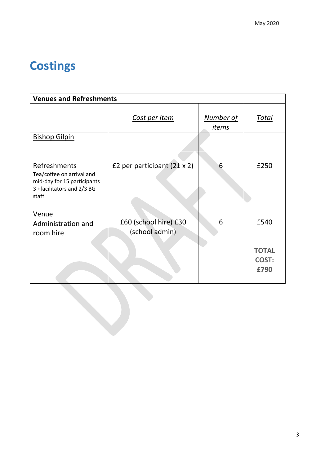# **Costings**

| <b>Venues and Refreshments</b>                                                      |                                    |                           |                               |  |  |  |  |
|-------------------------------------------------------------------------------------|------------------------------------|---------------------------|-------------------------------|--|--|--|--|
|                                                                                     | Cost per item                      | Number of<br><u>items</u> | <u>Total</u>                  |  |  |  |  |
| <b>Bishop Gilpin</b>                                                                |                                    |                           |                               |  |  |  |  |
| Refreshments<br>Tea/coffee on arrival and<br>mid-day for 15 participants =          | £2 per participant $(21 \times 2)$ | 6                         | £250                          |  |  |  |  |
| 3 +facilitators and 2/3 BG<br>staff                                                 |                                    |                           |                               |  |  |  |  |
| Venue<br>£60 (school hire) £30<br>Administration and<br>(school admin)<br>room hire |                                    | 6                         | £540                          |  |  |  |  |
|                                                                                     |                                    |                           | <b>TOTAL</b><br>COST:<br>£790 |  |  |  |  |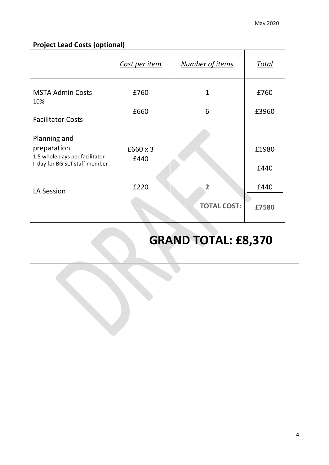| <b>Project Lead Costs (optional)</b>                                                           |                  |                                      |               |  |  |  |
|------------------------------------------------------------------------------------------------|------------------|--------------------------------------|---------------|--|--|--|
|                                                                                                | Cost per item    | Number of items                      | Total         |  |  |  |
| <b>MSTA Admin Costs</b><br>10%                                                                 | £760             | 1                                    | £760          |  |  |  |
| <b>Facilitator Costs</b>                                                                       | £660             | 6                                    | £3960         |  |  |  |
| Planning and<br>preparation<br>1.5 whole days per facilitator<br>I day for BG SLT staff member | £660 x 3<br>£440 |                                      | £1980<br>£440 |  |  |  |
| <b>LA Session</b>                                                                              | £220             | $\overline{2}$<br><b>TOTAL COST:</b> | £440<br>£7580 |  |  |  |

# **GRAND TOTAL: £8,370**